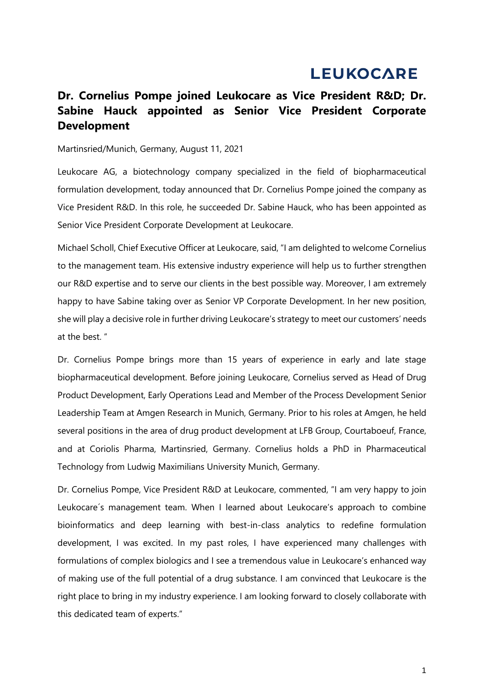# **LEUKOCARE**

# **Dr. Cornelius Pompe joined Leukocare as Vice President R&D; Dr. Sabine Hauck appointed as Senior Vice President Corporate Development**

## Martinsried/Munich, Germany, August 11, 2021

Leukocare AG, a biotechnology company specialized in the field of biopharmaceutical formulation development, today announced that Dr. Cornelius Pompe joined the company as Vice President R&D. In this role, he succeeded Dr. Sabine Hauck, who has been appointed as Senior Vice President Corporate Development at Leukocare.

Michael Scholl, Chief Executive Officer at Leukocare, said, "I am delighted to welcome Cornelius to the management team. His extensive industry experience will help us to further strengthen our R&D expertise and to serve our clients in the best possible way. Moreover, I am extremely happy to have Sabine taking over as Senior VP Corporate Development. In her new position, she will play a decisive role in further driving Leukocare's strategy to meet our customers' needs at the best. "

Dr. Cornelius Pompe brings more than 15 years of experience in early and late stage biopharmaceutical development. Before joining Leukocare, Cornelius served as Head of Drug Product Development, Early Operations Lead and Member of the Process Development Senior Leadership Team at Amgen Research in Munich, Germany. Prior to his roles at Amgen, he held several positions in the area of drug product development at LFB Group, Courtaboeuf, France, and at Coriolis Pharma, Martinsried, Germany. Cornelius holds a PhD in Pharmaceutical Technology from Ludwig Maximilians University Munich, Germany.

Dr. Cornelius Pompe, Vice President R&D at Leukocare, commented, "I am very happy to join Leukocare´s management team. When I learned about Leukocare's approach to combine bioinformatics and deep learning with best-in-class analytics to redefine formulation development, I was excited. In my past roles, I have experienced many challenges with formulations of complex biologics and I see a tremendous value in Leukocare's enhanced way of making use of the full potential of a drug substance. I am convinced that Leukocare is the right place to bring in my industry experience. I am looking forward to closely collaborate with this dedicated team of experts."